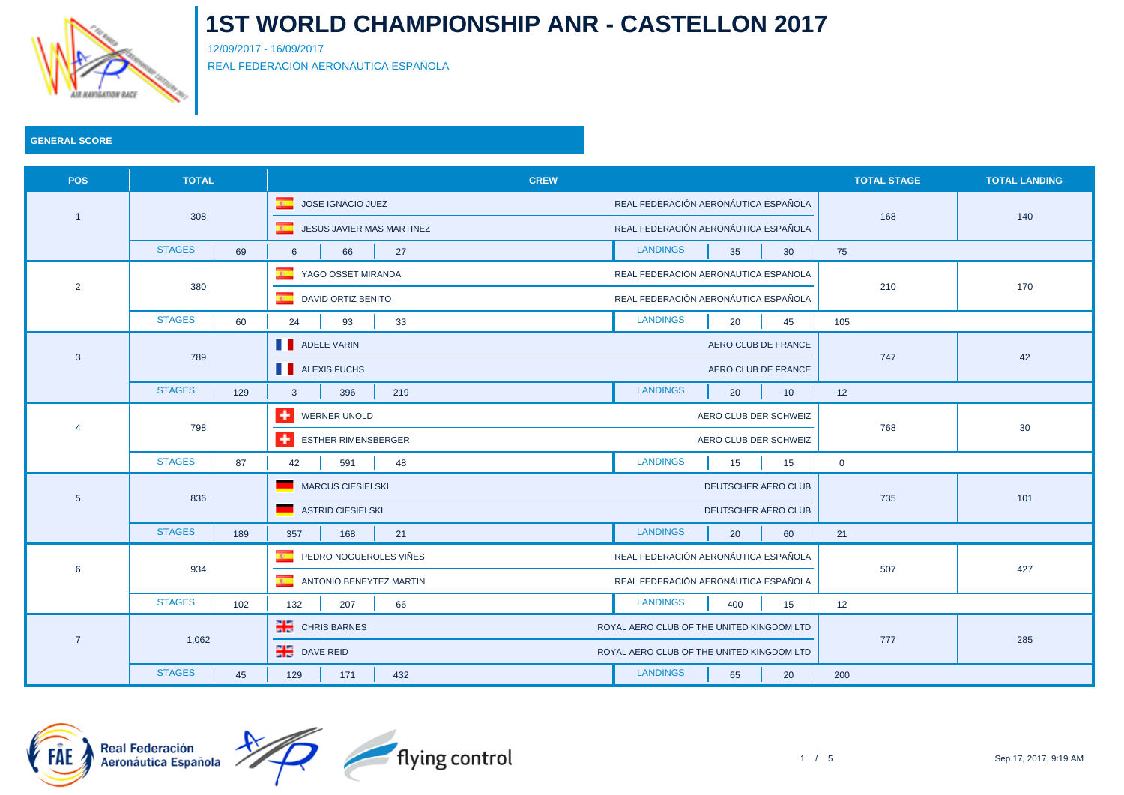

12/09/2017 - 16/09/2017 REAL FEDERACIÓN AERONÁUTICA ESPAÑOLA

| <b>POS</b>      | <b>TOTAL</b>         | <b>CREW</b>                               |                                           | <b>TOTAL STAGE</b> | <b>TOTAL LANDING</b> |
|-----------------|----------------------|-------------------------------------------|-------------------------------------------|--------------------|----------------------|
|                 | 308                  | $\overline{R}$<br>JOSE IGNACIO JUEZ       | REAL FEDERACIÓN AERONÁUTICA ESPAÑOLA      |                    | 140                  |
|                 |                      | <b>E</b> JESUS JAVIER MAS MARTINEZ        | REAL FEDERACIÓN AERONÁUTICA ESPAÑOLA      | 168                |                      |
|                 | <b>STAGES</b><br>69  | 27<br>$6\overline{6}$<br>66               | <b>LANDINGS</b><br>35<br>30               | 75                 |                      |
|                 | 380                  | $\mathbf{R}$ .<br>YAGO OSSET MIRANDA      | REAL FEDERACIÓN AERONÁUTICA ESPAÑOLA      |                    |                      |
| $\overline{2}$  |                      | DAVID ORTIZ BENITO<br><b>REGIST</b>       | REAL FEDERACIÓN AERONÁUTICA ESPAÑOLA      | 210                | 170                  |
|                 | <b>STAGES</b><br>60  | 33<br>24<br>93                            | <b>LANDINGS</b><br>45<br>20               | 105                |                      |
|                 |                      | ADELE VARIN                               | AERO CLUB DE FRANCE                       |                    | 42                   |
| $\mathbf{3}$    | 789                  | <b>ALEXIS FUCHS</b>                       | AERO CLUB DE FRANCE                       | 747                |                      |
|                 | <b>STAGES</b><br>129 | $\mathbf{3}$<br>396<br>219                | <b>LANDINGS</b><br>20<br>10               | 12                 |                      |
|                 | 798                  | ÷<br>WERNER UNOLD                         | AERO CLUB DER SCHWEIZ                     | 768                | 30                   |
|                 |                      | ESTHER RIMENSBERGER                       | AERO CLUB DER SCHWEIZ                     |                    |                      |
|                 | <b>STAGES</b><br>87  | 42<br>591<br>48                           | <b>LANDINGS</b><br>15<br>15               | $\mathbf 0$        |                      |
| $5\phantom{.0}$ | 836                  | <b>MARCUS CIESIELSKI</b>                  | DEUTSCHER AERO CLUB                       |                    | 101                  |
|                 |                      | <b>ASTRID CIESIELSKI</b>                  | DEUTSCHER AERO CLUB                       | 735                |                      |
|                 | <b>STAGES</b><br>189 | 357<br>21<br>168                          | <b>LANDINGS</b><br>20<br>60               | 21                 |                      |
| 6               | 934                  | $\overline{R}$<br>PEDRO NOGUEROLES VIÑES  | REAL FEDERACIÓN AERONÁUTICA ESPAÑOLA      |                    |                      |
|                 |                      | $\overline{R}$<br>ANTONIO BENEYTEZ MARTIN | REAL FEDERACIÓN AERONÁUTICA ESPAÑOLA      | 507                | 427                  |
|                 | <b>STAGES</b><br>102 | 132<br>66<br>207                          | <b>LANDINGS</b><br>400<br>15              | 12                 |                      |
|                 |                      | <b>CHRIS BARNES</b>                       | ROYAL AERO CLUB OF THE UNITED KINGDOM LTD |                    | 285                  |
| $\overline{7}$  | 1,062                | $P1$ DAVE REID                            | ROYAL AERO CLUB OF THE UNITED KINGDOM LTD | 777                |                      |
|                 | <b>STAGES</b><br>45  | 129<br>171<br>432                         | <b>LANDINGS</b><br>65<br>20               | 200                |                      |



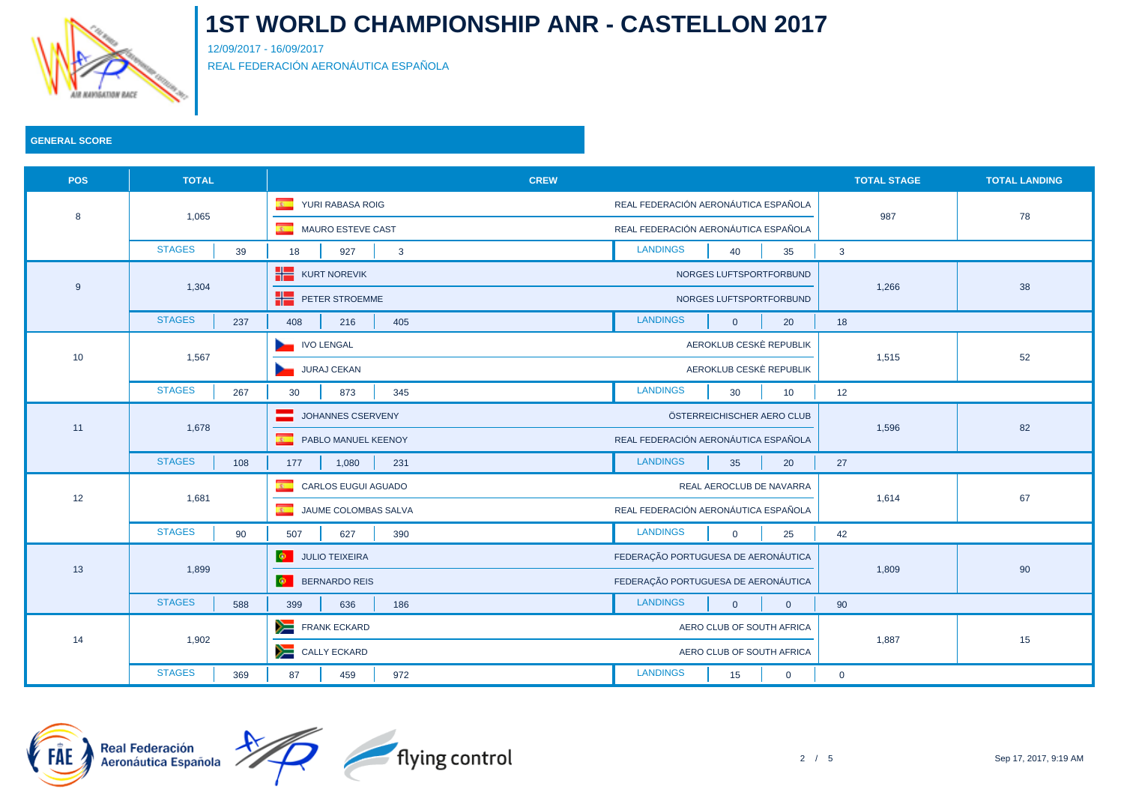

12/09/2017 - 16/09/2017 REAL FEDERACIÓN AERONÁUTICA ESPAÑOLA

### **GENERAL SCORE**

| <b>POS</b>      | <b>TOTAL</b>         | <b>CREW</b>                                    |                                               | <b>TOTAL STAGE</b> | <b>TOTAL LANDING</b> |
|-----------------|----------------------|------------------------------------------------|-----------------------------------------------|--------------------|----------------------|
|                 | 1,065                | $\overline{\mathbf{R}}$<br>YURI RABASA ROIG    | REAL FEDERACIÓN AERONÁUTICA ESPAÑOLA          |                    | 78                   |
| 8               |                      | MAURO ESTEVE CAST                              | REAL FEDERACIÓN AERONÁUTICA ESPAÑOLA          | 987                |                      |
|                 | <b>STAGES</b><br>39  | 18<br>927<br>$\mathbf{3}$                      | <b>LANDINGS</b><br>40<br>35                   | $\mathbf{3}$       |                      |
|                 |                      | <b>KURT NOREVIK</b>                            | NORGES LUFTSPORTFORBUND                       |                    | 38                   |
| 9               | 1,304                | PETER STROEMME                                 | NORGES LUFTSPORTFORBUND                       | 1,266              |                      |
|                 | <b>STAGES</b><br>237 | 405<br>408<br>216                              | <b>LANDINGS</b><br>$\overline{0}$<br>20       | 18                 |                      |
|                 | 1,567                | IVO LENGAL                                     | AEROKLUB CESKÈ REPUBLIK                       |                    | 52                   |
| 10 <sup>°</sup> |                      | JURAJ CEKAN                                    | AEROKLUB CESKÈ REPUBLIK                       | 1,515              |                      |
|                 | <b>STAGES</b><br>267 | 873<br>345<br>30                               | <b>LANDINGS</b><br>30<br>10                   | 12                 |                      |
|                 | 1,678                | JOHANNES CSERVENY                              | ÖSTERREICHISCHER AERO CLUB                    | 1,596              | 82                   |
| 11              |                      | $\overline{\mathbf{r}}$<br>PABLO MANUEL KEENOY | REAL FEDERACIÓN AERONÁUTICA ESPAÑOLA          |                    |                      |
|                 | <b>STAGES</b><br>108 | 177<br>1,080<br>231                            | <b>LANDINGS</b><br>35<br>20                   | 27                 |                      |
| 12              | 1,681                | $\overline{R}$<br>CARLOS EUGUI AGUADO          | REAL AEROCLUB DE NAVARRA                      | 1,614              | 67                   |
|                 |                      | <b>E</b> JAUME COLOMBAS SALVA                  | REAL FEDERACIÓN AERONÁUTICA ESPAÑOLA          |                    |                      |
|                 | <b>STAGES</b><br>90  | 507<br>627<br>390                              | <b>LANDINGS</b><br>$\overline{0}$<br>25       | 42                 |                      |
|                 | 1,899                | <b>O</b> JULIO TEIXEIRA                        | FEDERAÇÃO PORTUGUESA DE AERONÁUTICA           |                    |                      |
| 13              |                      | <b>O</b> BERNARDO REIS                         | FEDERAÇÃO PORTUGUESA DE AERONÁUTICA           | 1,809              | 90                   |
|                 | <b>STAGES</b><br>588 | 399<br>636<br>186                              | <b>LANDINGS</b><br>$\Omega$<br>$\overline{0}$ | 90                 |                      |
|                 |                      | FRANK ECKARD                                   | AERO CLUB OF SOUTH AFRICA                     |                    |                      |
| 14              | 1,902                | CALLY ECKARD                                   | AERO CLUB OF SOUTH AFRICA                     | 1,887              | 15                   |
|                 | <b>STAGES</b><br>369 | 87<br>459<br>972                               | <b>LANDINGS</b><br>15<br>$\mathbf 0$          | $\mathbf 0$        |                      |

flying control



2 / 5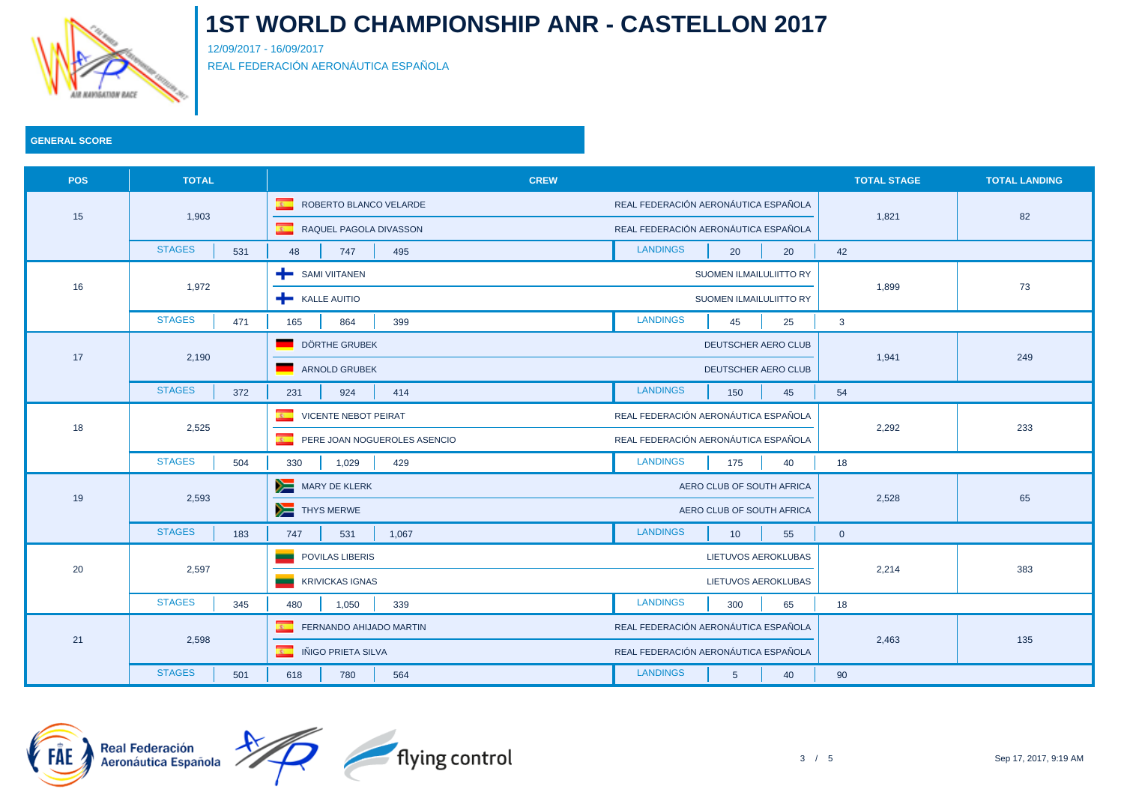

12/09/2017 - 16/09/2017 REAL FEDERACIÓN AERONÁUTICA ESPAÑOLA

| <b>POS</b> | <b>TOTAL</b>         | <b>CREW</b>                                             |                                          | <b>TOTAL STAGE</b> | <b>TOTAL LANDING</b> |
|------------|----------------------|---------------------------------------------------------|------------------------------------------|--------------------|----------------------|
|            |                      | $\overline{\mathbf{R}^{(0)}}$<br>ROBERTO BLANCO VELARDE | REAL FEDERACIÓN AERONÁUTICA ESPAÑOLA     |                    | 82                   |
| 15         | 1,903                | <b>E</b> RAQUEL PAGOLA DIVASSON                         | REAL FEDERACIÓN AERONÁUTICA ESPAÑOLA     | 1,821              |                      |
|            | <b>STAGES</b><br>531 | 48<br>747<br>495                                        | <b>LANDINGS</b><br>20<br>20              | 42                 |                      |
|            |                      | SAMI VIITANEN                                           | SUOMEN ILMAILULIITTO RY                  |                    | 73                   |
| 16         | 1,972                | <b>KALLE AUITIO</b>                                     | SUOMEN ILMAILULIITTO RY                  | 1,899              |                      |
|            | <b>STAGES</b><br>471 | 165<br>864<br>399                                       | <b>LANDINGS</b><br>45<br>25              | $\mathbf{3}$       |                      |
|            | 2,190                | DÖRTHE GRUBEK                                           | DEUTSCHER AERO CLUB                      |                    | 249                  |
| 17         |                      | ARNOLD GRUBEK                                           | DEUTSCHER AERO CLUB                      | 1,941              |                      |
|            | <b>STAGES</b><br>372 | 924<br>414<br>231                                       | <b>LANDINGS</b><br>45<br>150             | 54                 |                      |
|            | 2,525                | $\overline{R}$<br><b>VICENTE NEBOT PEIRAT</b>           | REAL FEDERACIÓN AERONÁUTICA ESPAÑOLA     | 2,292              | 233                  |
| 18         |                      | PERE JOAN NOGUEROLES ASENCIO                            | REAL FEDERACIÓN AERONÁUTICA ESPAÑOLA     |                    |                      |
|            | <b>STAGES</b><br>504 | 429<br>330<br>1,029                                     | <b>LANDINGS</b><br>175<br>40             | 18                 |                      |
|            | 2,593                | MARY DE KLERK                                           | AERO CLUB OF SOUTH AFRICA                |                    | 65                   |
| 19         |                      | THYS MERWE                                              | AERO CLUB OF SOUTH AFRICA                | 2,528              |                      |
|            | <b>STAGES</b><br>183 | 747<br>531<br>1,067                                     | <b>LANDINGS</b><br>10<br>55              | $\overline{0}$     |                      |
| 20         | 2,597                | POVILAS LIBERIS                                         | LIETUVOS AEROKLUBAS                      |                    | 383                  |
|            |                      | <b>KRIVICKAS IGNAS</b>                                  | LIETUVOS AEROKLUBAS                      | 2,214              |                      |
|            | <b>STAGES</b><br>345 | 480<br>1,050<br>339                                     | <b>LANDINGS</b><br>300<br>65             | 18                 |                      |
|            |                      | $\mathbf{r}$<br>FERNANDO AHIJADO MARTIN                 | REAL FEDERACIÓN AERONÁUTICA ESPAÑOLA     |                    | 135                  |
| 21         | 2,598                | <b>E</b> IÑIGO PRIETA SILVA                             | REAL FEDERACIÓN AERONÁUTICA ESPAÑOLA     | 2,463              |                      |
|            | <b>STAGES</b><br>501 | 564<br>618<br>780                                       | <b>LANDINGS</b><br>40<br>$5\overline{)}$ | 90                 |                      |

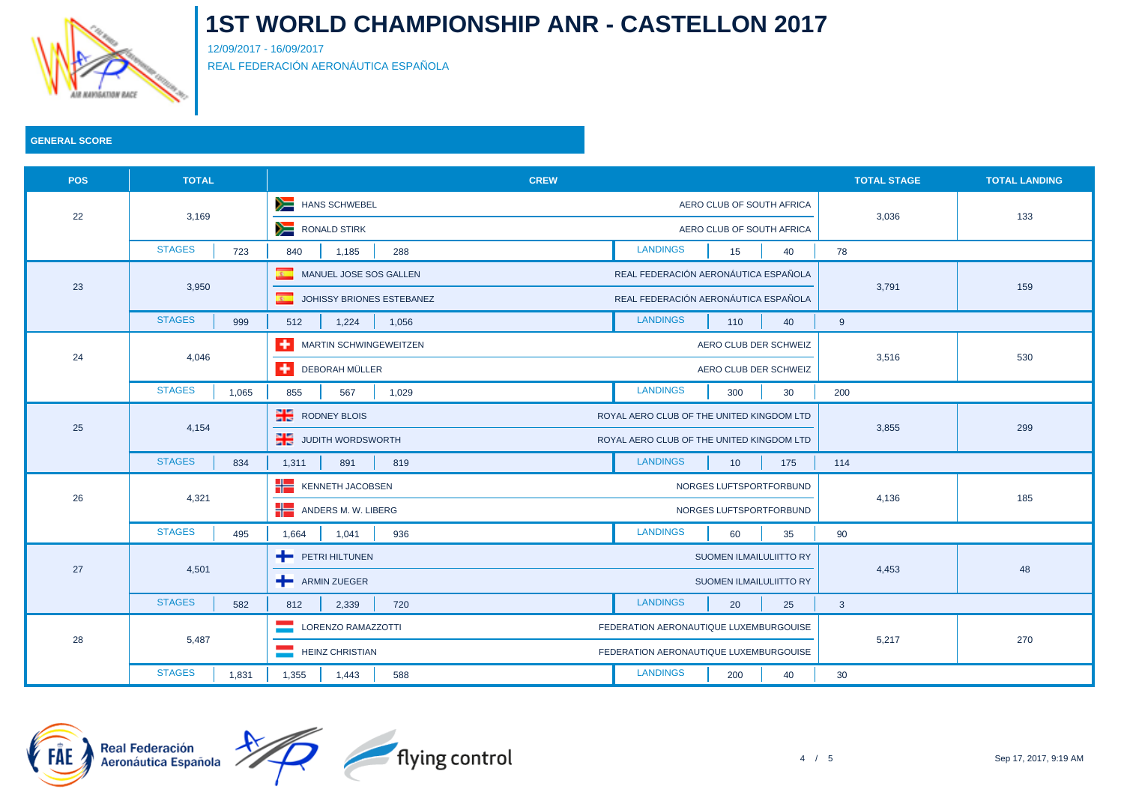

12/09/2017 - 16/09/2017 REAL FEDERACIÓN AERONÁUTICA ESPAÑOLA

| <b>POS</b> | <b>TOTAL</b>           | <b>CREW</b>                       |                                           | <b>TOTAL STAGE</b> | <b>TOTAL LANDING</b> |
|------------|------------------------|-----------------------------------|-------------------------------------------|--------------------|----------------------|
|            | 3,169                  | HANS SCHWEBEL                     | AERO CLUB OF SOUTH AFRICA                 |                    | 133                  |
| 22         |                        | RONALD STIRK                      | AERO CLUB OF SOUTH AFRICA                 | 3,036              |                      |
|            | <b>STAGES</b><br>723   | 840<br>1,185<br>288               | <b>LANDINGS</b><br>15<br>40               | 78                 |                      |
|            | 3,950                  | MANUEL JOSE SOS GALLEN            | REAL FEDERACIÓN AERONÁUTICA ESPAÑOLA      |                    | 159                  |
| 23         |                        | JOHISSY BRIONES ESTEBANEZ         | REAL FEDERACIÓN AERONÁUTICA ESPAÑOLA      | 3,791              |                      |
|            | <b>STAGES</b><br>999   | 512<br>1,224<br>1,056             | <b>LANDINGS</b><br>40<br>110              | 9                  |                      |
|            | 4,046                  | <b>THE MARTIN SCHWINGEWEITZEN</b> | AERO CLUB DER SCHWEIZ                     |                    | 530                  |
| 24         |                        | DEBORAH MÜLLER                    | AERO CLUB DER SCHWEIZ                     | 3,516              |                      |
|            | <b>STAGES</b><br>1,065 | 1,029<br>855<br>567               | <b>LANDINGS</b><br>300<br>30              | 200                |                      |
|            | 4,154                  | <b>RODNEY BLOIS</b>               | ROYAL AERO CLUB OF THE UNITED KINGDOM LTD | 3,855              | 299                  |
| 25         |                        | <b>THE JUDITH WORDSWORTH</b>      | ROYAL AERO CLUB OF THE UNITED KINGDOM LTD |                    |                      |
|            | <b>STAGES</b><br>834   | 1,311<br>891<br>819               | <b>LANDINGS</b><br>10<br>175              | 114                |                      |
|            | 4,321                  | KENNETH JACOBSEN                  | NORGES LUFTSPORTFORBUND                   |                    |                      |
| 26         |                        | ANDERS M. W. LIBERG               | NORGES LUFTSPORTFORBUND                   | 4,136              | 185                  |
|            | <b>STAGES</b><br>495   | 1,664<br>1,041<br>936             | <b>LANDINGS</b><br>60<br>35               | 90                 |                      |
| 27         | 4,501                  | PETRI HILTUNEN                    | SUOMEN ILMAILULIITTO RY                   | 4,453              | 48                   |
|            |                        | ARMIN ZUEGER                      | SUOMEN ILMAILULIITTO RY                   |                    |                      |
|            | <b>STAGES</b><br>582   | 812<br>2,339<br>720               | <b>LANDINGS</b><br>20<br>25               | $\mathbf{3}$       |                      |
|            | 5,487                  | LORENZO RAMAZZOTTI                | FEDERATION AERONAUTIQUE LUXEMBURGOUISE    |                    | 270                  |
| 28         |                        | <b>HEINZ CHRISTIAN</b>            | FEDERATION AERONAUTIQUE LUXEMBURGOUISE    | 5,217              |                      |
|            | <b>STAGES</b><br>1,831 | 1,355<br>1,443<br>588             | <b>LANDINGS</b><br>40<br>200              | 30                 |                      |